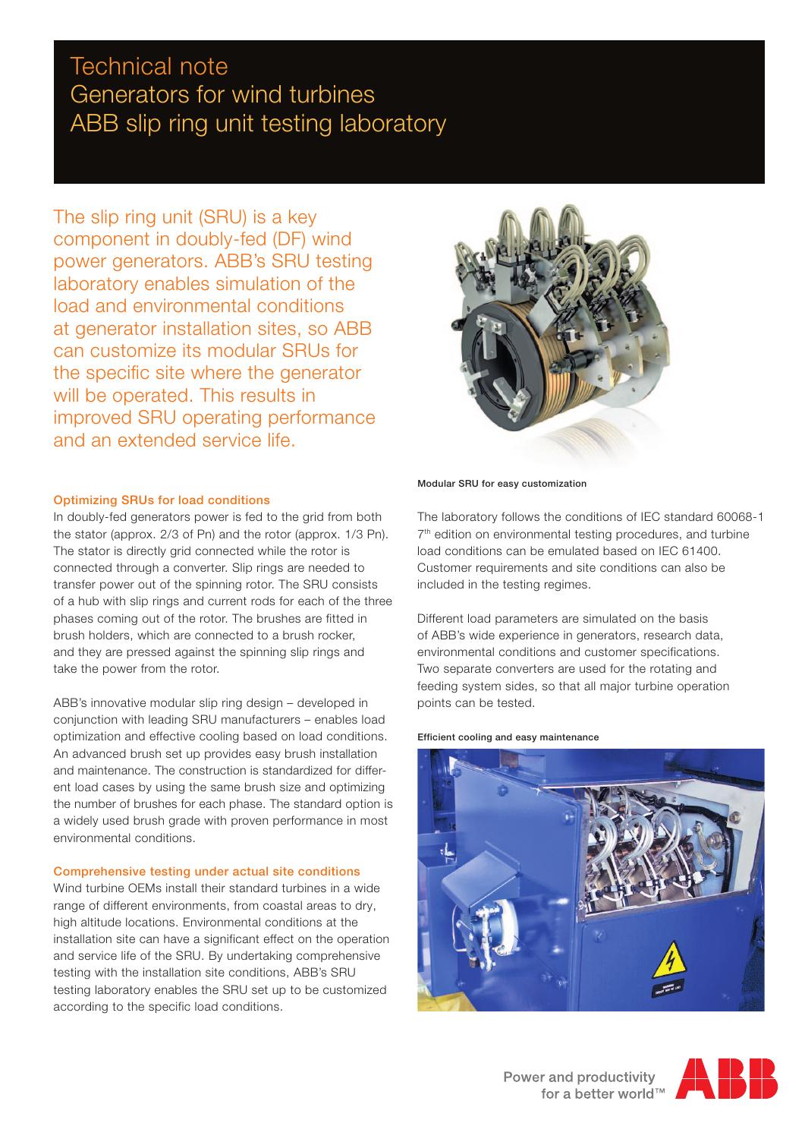# Technical note Generators for wind turbines ABB slip ring unit testing laboratory

The slip ring unit (SRU) is a key component in doubly-fed (DF) wind power generators. ABB's SRU testing laboratory enables simulation of the load and environmental conditions at generator installation sites, so ABB can customize its modular SRUs for the specific site where the generator will be operated. This results in improved SRU operating performance and an extended service life.

## Optimizing SRUs for load conditions

In doubly-fed generators power is fed to the grid from both the stator (approx. 2/3 of Pn) and the rotor (approx. 1/3 Pn). The stator is directly grid connected while the rotor is connected through a converter. Slip rings are needed to transfer power out of the spinning rotor. The SRU consists of a hub with slip rings and current rods for each of the three phases coming out of the rotor. The brushes are fitted in brush holders, which are connected to a brush rocker, and they are pressed against the spinning slip rings and take the power from the rotor.

ABB's innovative modular slip ring design – developed in conjunction with leading SRU manufacturers – enables load optimization and effective cooling based on load conditions. An advanced brush set up provides easy brush installation and maintenance. The construction is standardized for different load cases by using the same brush size and optimizing the number of brushes for each phase. The standard option is a widely used brush grade with proven performance in most environmental conditions.

### Comprehensive testing under actual site conditions

Wind turbine OEMs install their standard turbines in a wide range of different environments, from coastal areas to dry, high altitude locations. Environmental conditions at the installation site can have a significant effect on the operation and service life of the SRU. By undertaking comprehensive testing with the installation site conditions, ABB's SRU testing laboratory enables the SRU set up to be customized according to the specific load conditions.



#### Modular SRU for easy customization

The laboratory follows the conditions of IEC standard 60068-1 7<sup>th</sup> edition on environmental testing procedures, and turbine load conditions can be emulated based on IEC 61400. Customer requirements and site conditions can also be included in the testing regimes.

Different load parameters are simulated on the basis of ABB's wide experience in generators, research data, environmental conditions and customer specifications. Two separate converters are used for the rotating and feeding system sides, so that all major turbine operation points can be tested.

#### Efficient cooling and easy maintenance